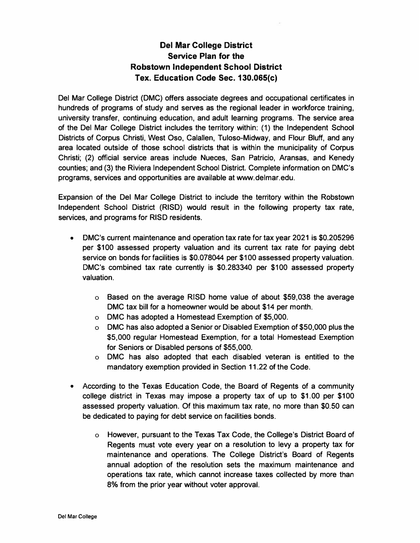## **Del Mar College District Service Plan for the Robstown Independent School District Tex. Education Code Sec. 130.065(c)**

**Del Mar College District (DMC) offers associate degrees and occupational certificates in hundreds of programs of study and serves as the regional leader in workforce training, university transfer, continuing education, and adult learning programs. The service area of the Del Mar College District includes the territory within: (1) the Independent School Districts of Corpus Christi, West Oso, Calallen, Tuloso-Midway, and Flour Bluff, and any area located outside of those school districts that is within the municipality of Corpus Christi; (2) official service areas include Nueces, San Patricio, Aransas, and Kenedy counties; and (3) the Riviera Independent School District. Complete information on DMC's programs, services and opportunities are available at <www.delmar.edu>.** 

**Expansion of the Del Mar College District to include the territory within the Robstown Independent School District (RISO) would result in the following property tax rate, services, and programs for RISD residents.** 

- **• DMC's current maintenance and operation tax rate for tax year 2021 is \$0.205296 per \$100 assessed property valuation and its current tax rate for paying debt service on bonds for facilities is \$0.078044 per \$100 assessed property valuation. DMC's combined tax rate currently is \$0.283340 per \$100 assessed property valuation.**
	- **<sup>o</sup> Based on the average RISO home value of about \$59,038 the average DMC tax bill for a homeowner would be about \$14 per month.**
	- **<sup>o</sup> DMC has adopted a Homestead Exemption of \$5,000.**
	- **<sup>o</sup> DMC has also adopted a Senior or Disabled Exemption of \$50,000 plus the \$5,000 regular Homestead Exemption, for a total Homestead Exemption for Seniors or Disabled persons of \$55,000.**
	- **<sup>o</sup> DMC has also adopted that each disabled veteran is entitled to the mandatory exemption provided in Section 11.22 of the Code.**
- **• According to the Texas Education Code, the Board of Regents of a community college district in Texas may impose a property tax of up to \$1.00 per \$100 assessed property valuation. Of this maximum tax rate, no more than \$0.50 can be dedicated to paying for debt service on facilities bonds.**
	- **<sup>o</sup> However, pursuant to the Texas Tax Code, the College's District Board of Regents must vote every year on a resolution to levy a property tax for maintenance and operations. The College District's Board of Regents annual adoption of the resolution sets the maximum maintenance and operations tax rate, which cannot increase taxes collected by more than 8% from the prior year without voter approval.**